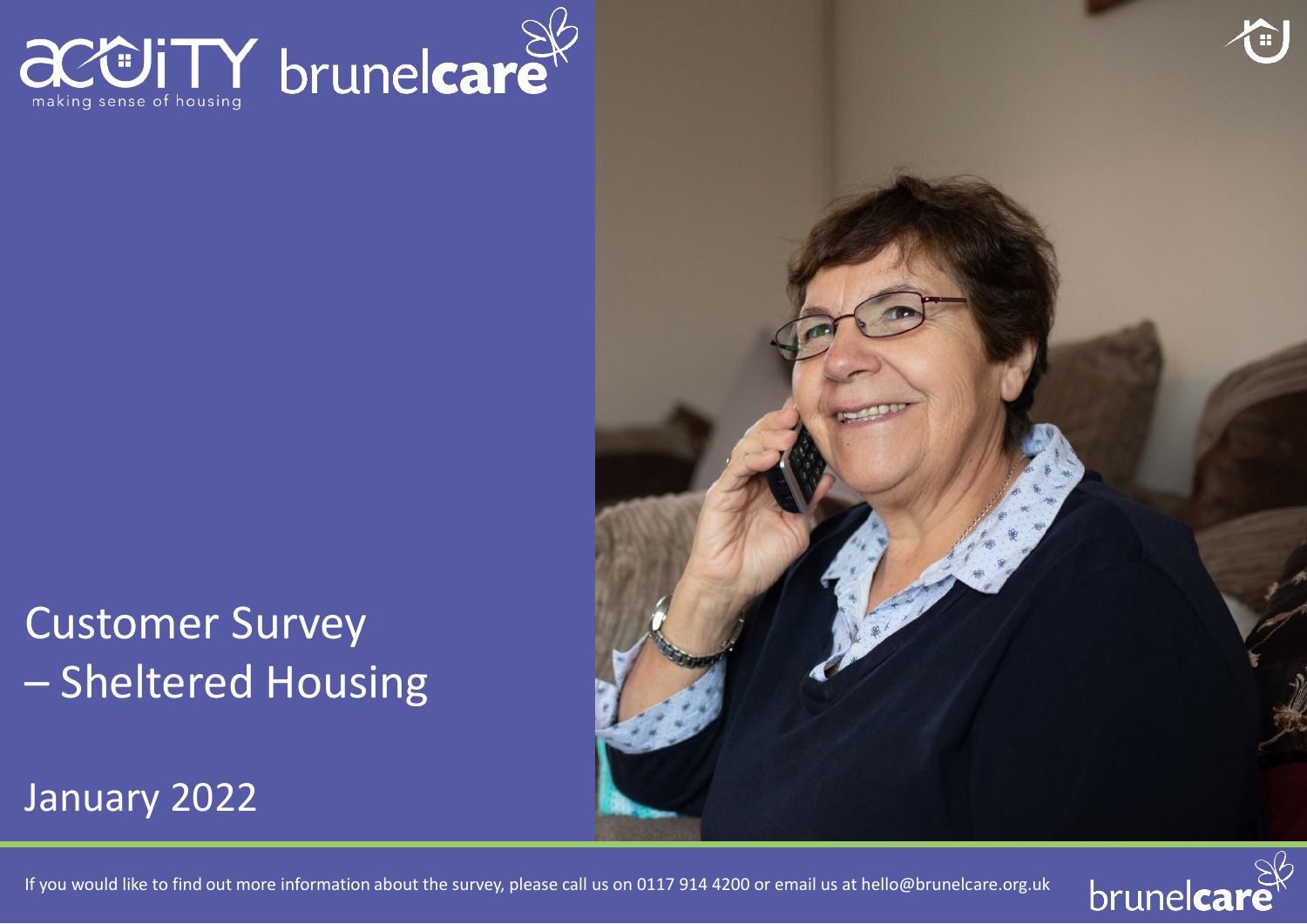

# Customer Survey – Sheltered Housing

January 2022



If you would like to find out more information about the survey, please call us on 0117 914 4200 or email us at hello@brunelcare.org.uk

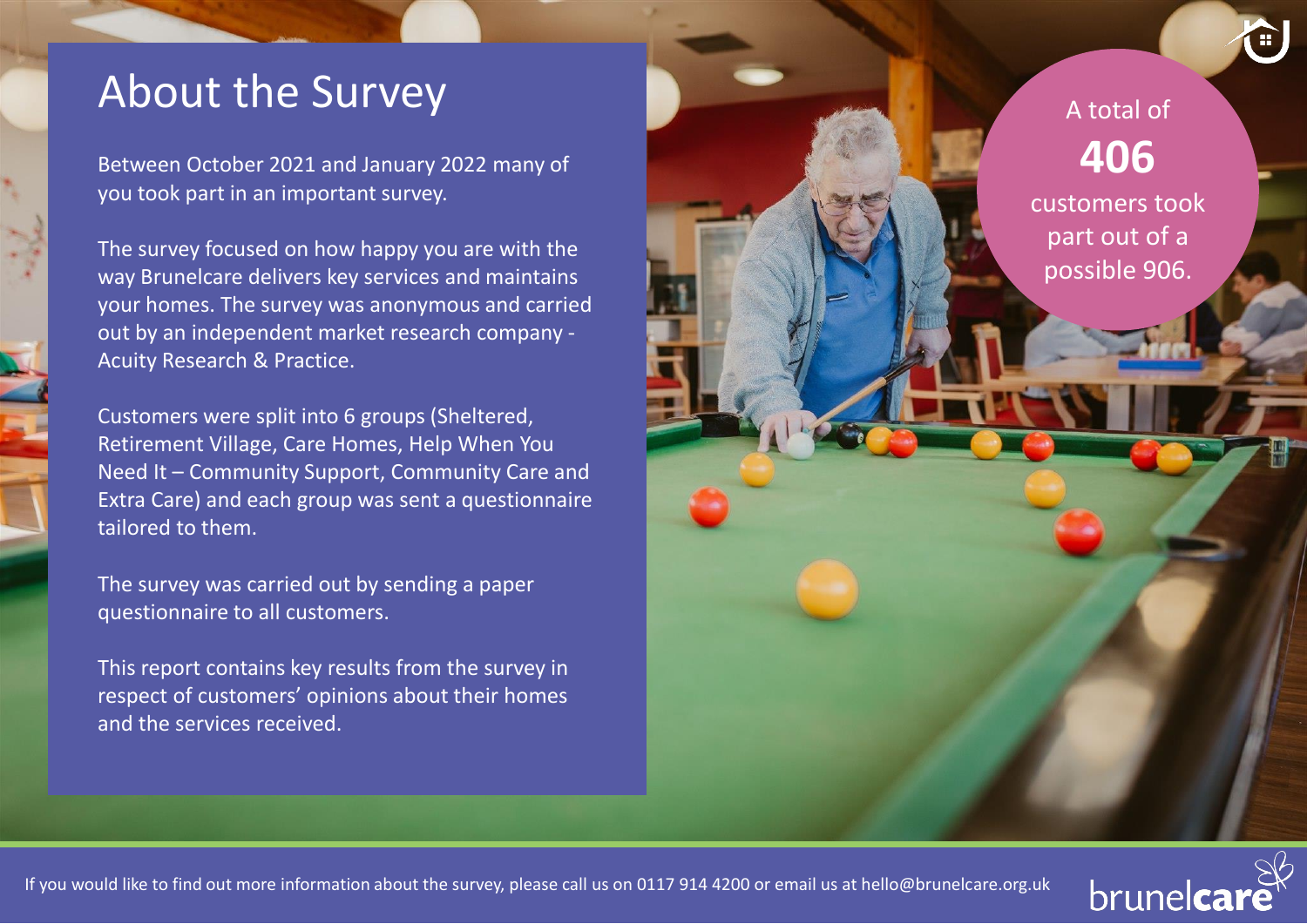#### About the Survey

Between October 2021 and January 2022 many of you took part in an important survey.

The survey focused on how happy you are with the way Brunelcare delivers key services and maintains your homes. The survey was anonymous and carried out by an independent market research company - Acuity Research & Practice.

Customers were split into 6 groups (Sheltered, Retirement Village, Care Homes, Help When You Need It – Community Support, Community Care and Extra Care) and each group was sent a questionnaire tailored to them.

The survey was carried out by sending a paper questionnaire to all customers.

This report contains key results from the survey in respect of customers' opinions about their homes and the services received.



A total of

**406**

customers took

part out of a

possible 906.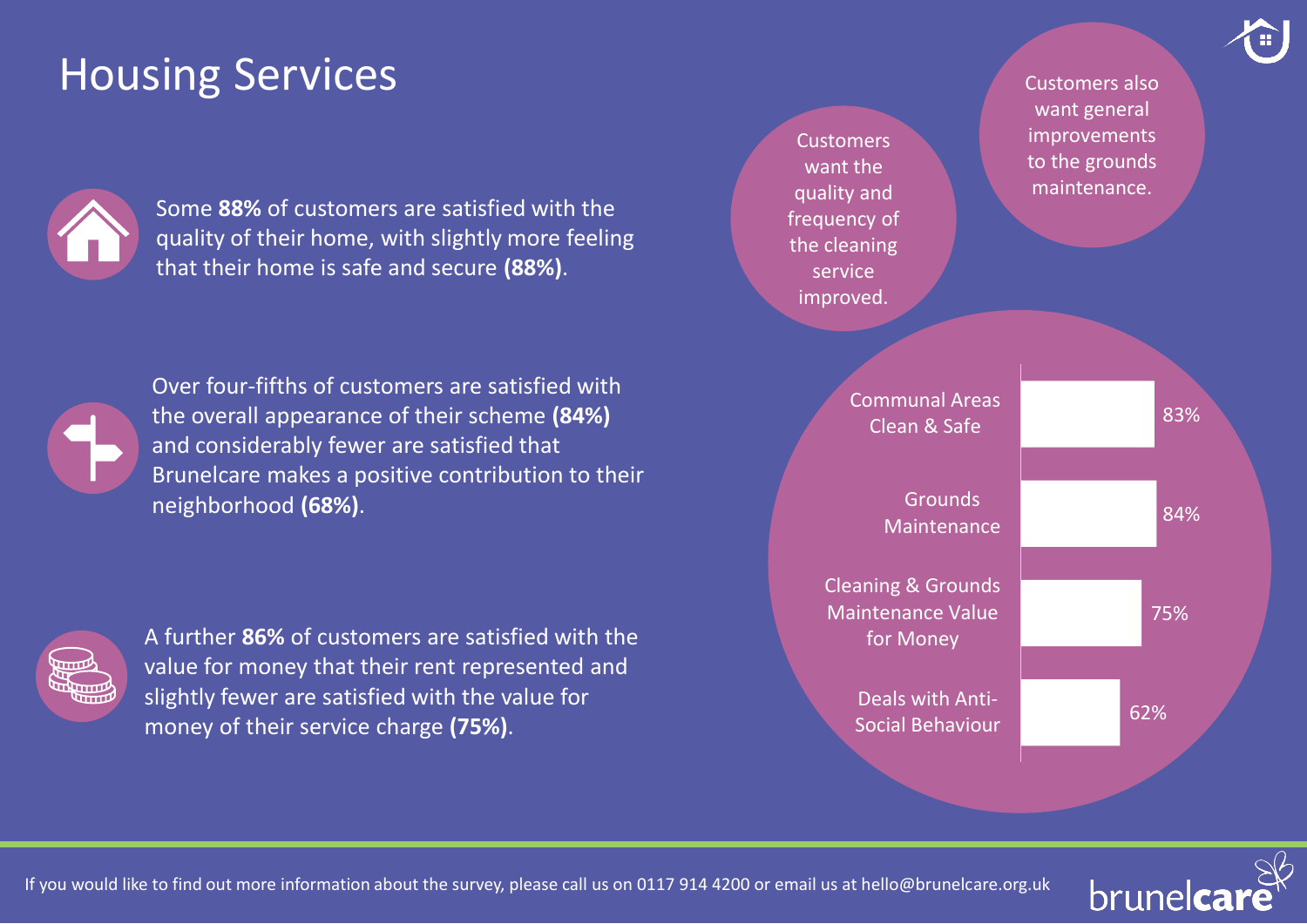# Housing Services



Some **88%** of customers are satisfied with the quality of their home, with slightly more feeling that their home is safe and secure **(88%)**.



Over four-fifths of customers are satisfied with the overall appearance of their scheme **(84%)** and considerably fewer are satisfied that Brunelcare makes a positive contribution to their neighborhood **(68%)**.



A further **86%** of customers are satisfied with the value for money that their rent represented and slightly fewer are satisfied with the value for money of their service charge **(75%)**.

83% 84% 75% 62% Communal Areas Clean & Safe **Grounds** Maintenance Cleaning & Grounds Maintenance Value for Money Deals with Anti-Social Behaviour **Customers** want the quality and frequency of the cleaning service improved. Customers also want general improvements to the grounds maintenance.



brunelca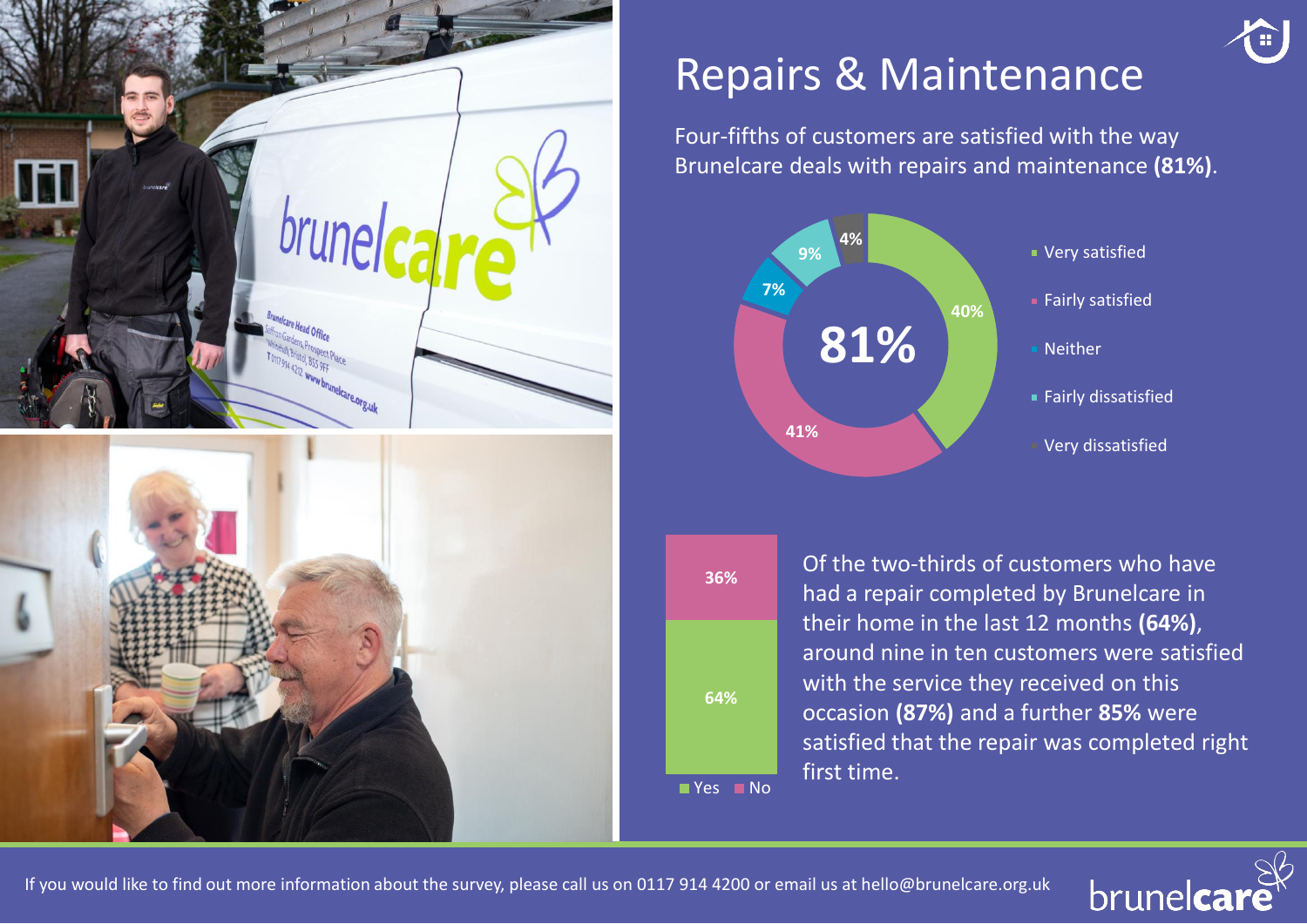

# Repairs & Maintenance

Four-fifths of customers are satisfied with the way Brunelcare deals with repairs and maintenance **(81%)**.





Of the two-thirds of customers who have had a repair completed by Brunelcare in their home in the last 12 months **(64%)**, around nine in ten customers were satisfied with the service they received on this occasion **(87%)** and a further **85%** were satisfied that the repair was completed right first time.



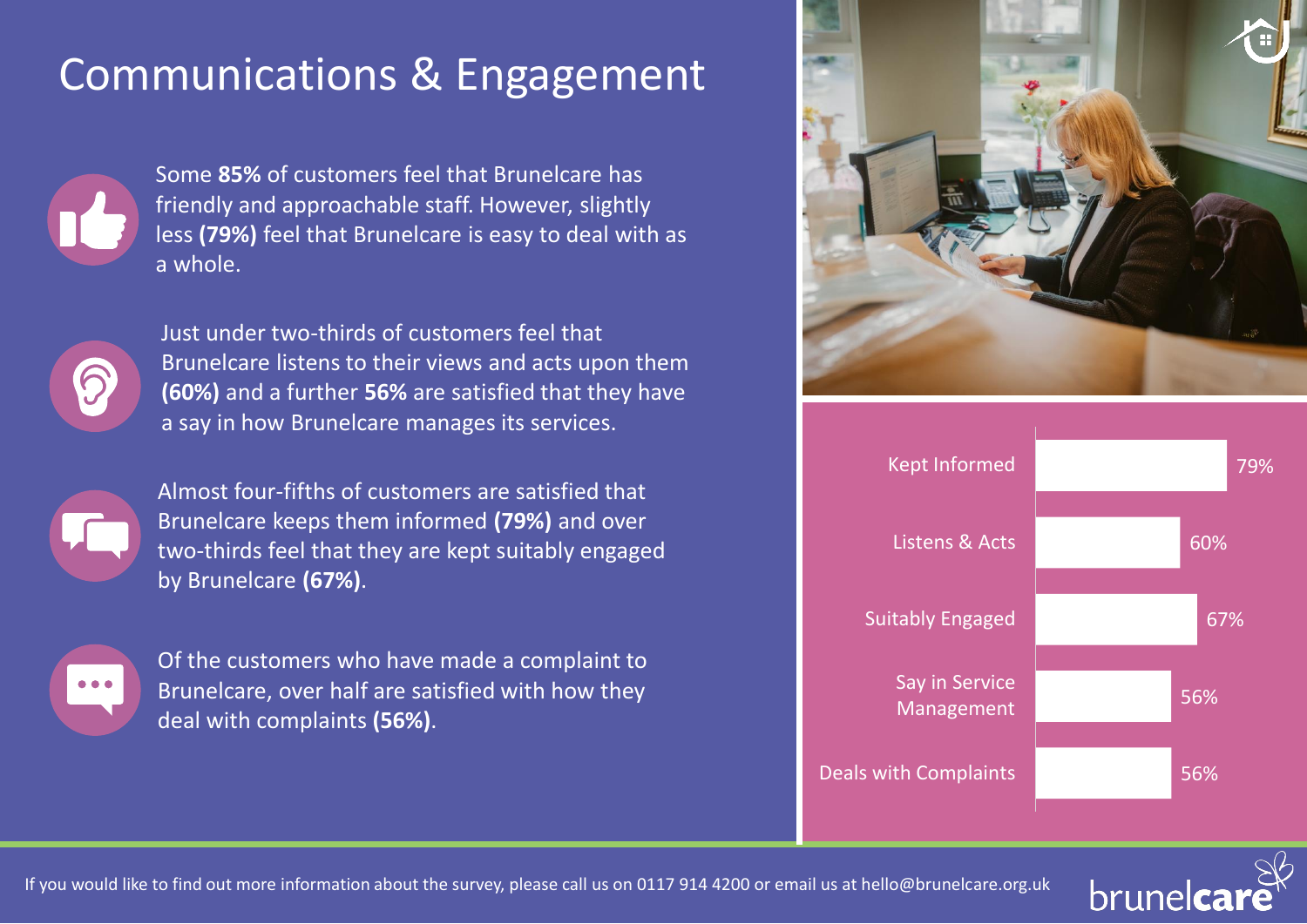# Communications & Engagement



Some **85%** of customers feel that Brunelcare has friendly and approachable staff. However, slightly less **(79%)** feel that Brunelcare is easy to deal with as a whole.



Just under two-thirds of customers feel that Brunelcare listens to their views and acts upon them **(60%)** and a further **56%** are satisfied that they have a say in how Brunelcare manages its services.



Almost four-fifths of customers are satisfied that Brunelcare keeps them informed **(79%)** and over two-thirds feel that they are kept suitably engaged by Brunelcare **(67%)**.



Of the customers who have made a complaint to Brunelcare, over half are satisfied with how they deal with complaints **(56%)**.





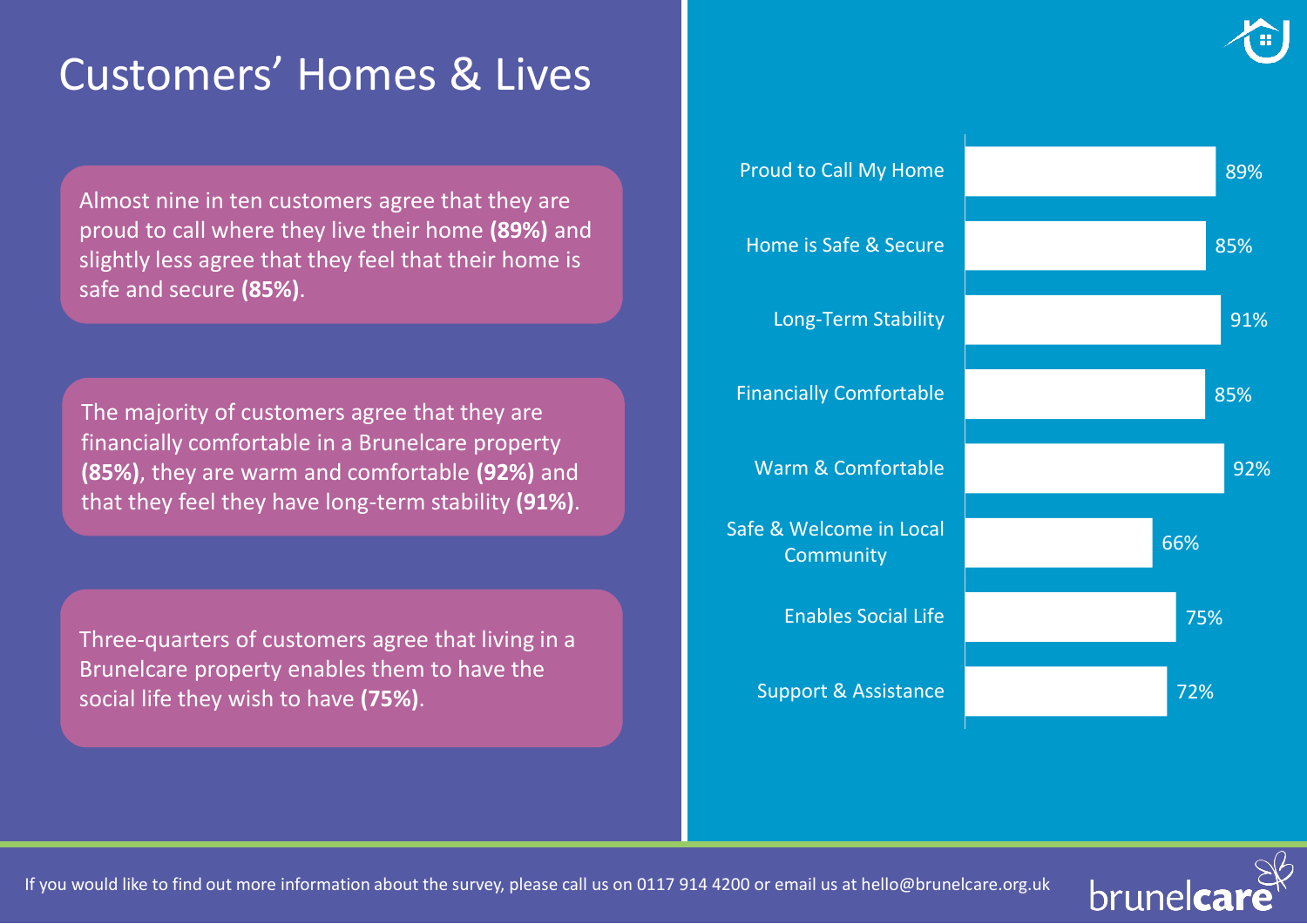### Customers' Homes & Lives

Almost nine in ten customers agree that they are proud to call where they live their home **(89%)** and slightly less agree that they feel that their home is safe and secure **(85%)**.

The majority of customers agree that they are financially comfortable in a Brunelcare property **(85%)**, they are warm and comfortable **(92%)** and that they feel they have long-term stability **(91%)**.

Three-quarters of customers agree that living in a Brunelcare property enables them to have the social life they wish to have **(75%)**.

89% 85% 91% 85% 92% 66% 75% 72% Proud to Call My Home Home is Safe & Secure Long-Term Stability Financially Comfortable Warm & Comfortable Safe & Welcome in Local **Community** Enables Social Life Support & Assistance

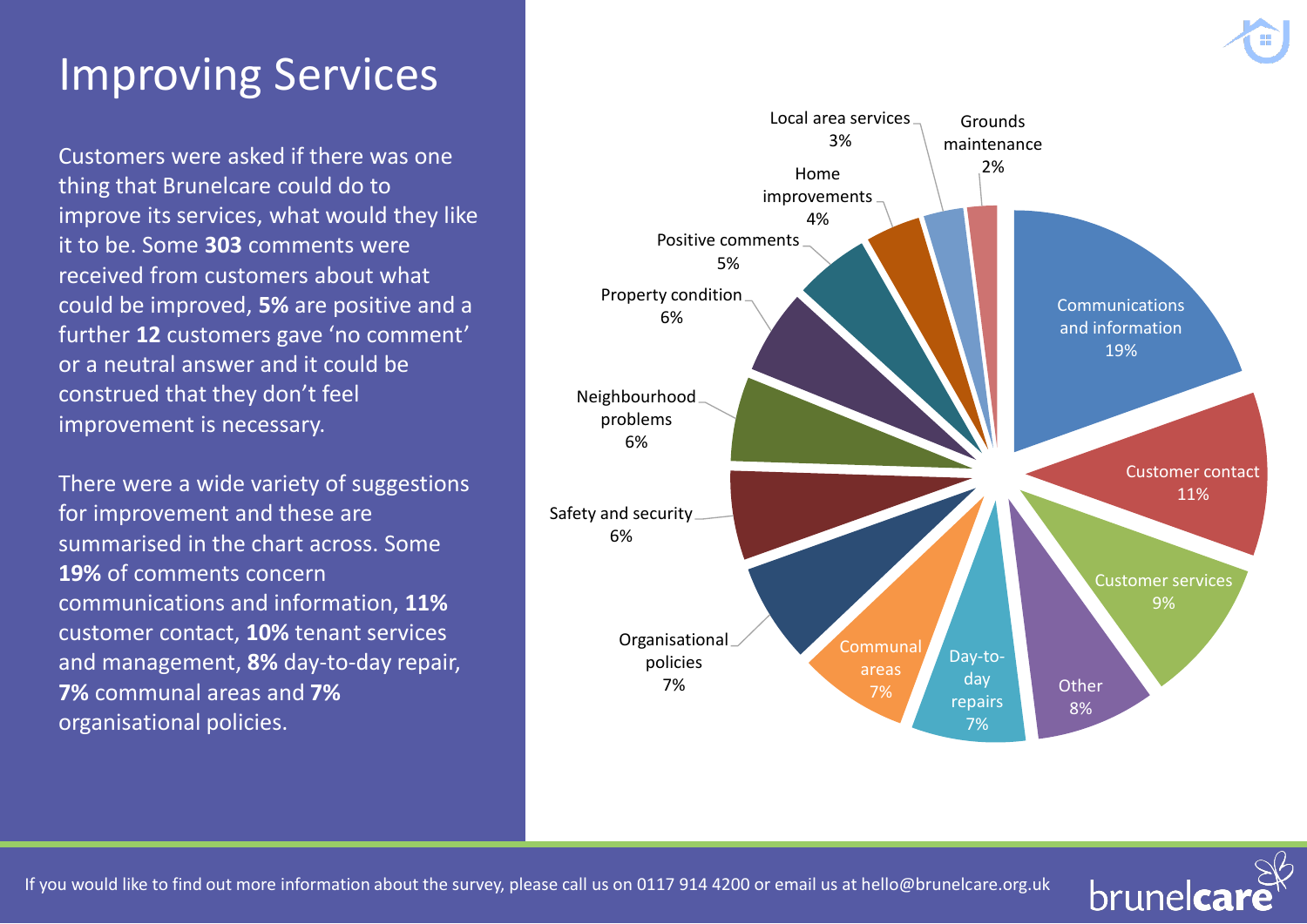### Improving Services

Customers were asked if there was one thing that Brunelcare could do to improve its services, what would they like it to be. Some **303** comments were received from customers about what could be improved, **5%** are positive and a further **12** customers gave 'no comment' or a neutral answer and it could be construed that they don't feel improvement is necessary.

There were a wide variety of suggestions for improvement and these are summarised in the chart across. Some **19%** of comments concern communications and information, **11%**  customer contact, **10%** tenant services and management, **8%** day-to-day repair, **7%** communal areas and **7%**  organisational policies.



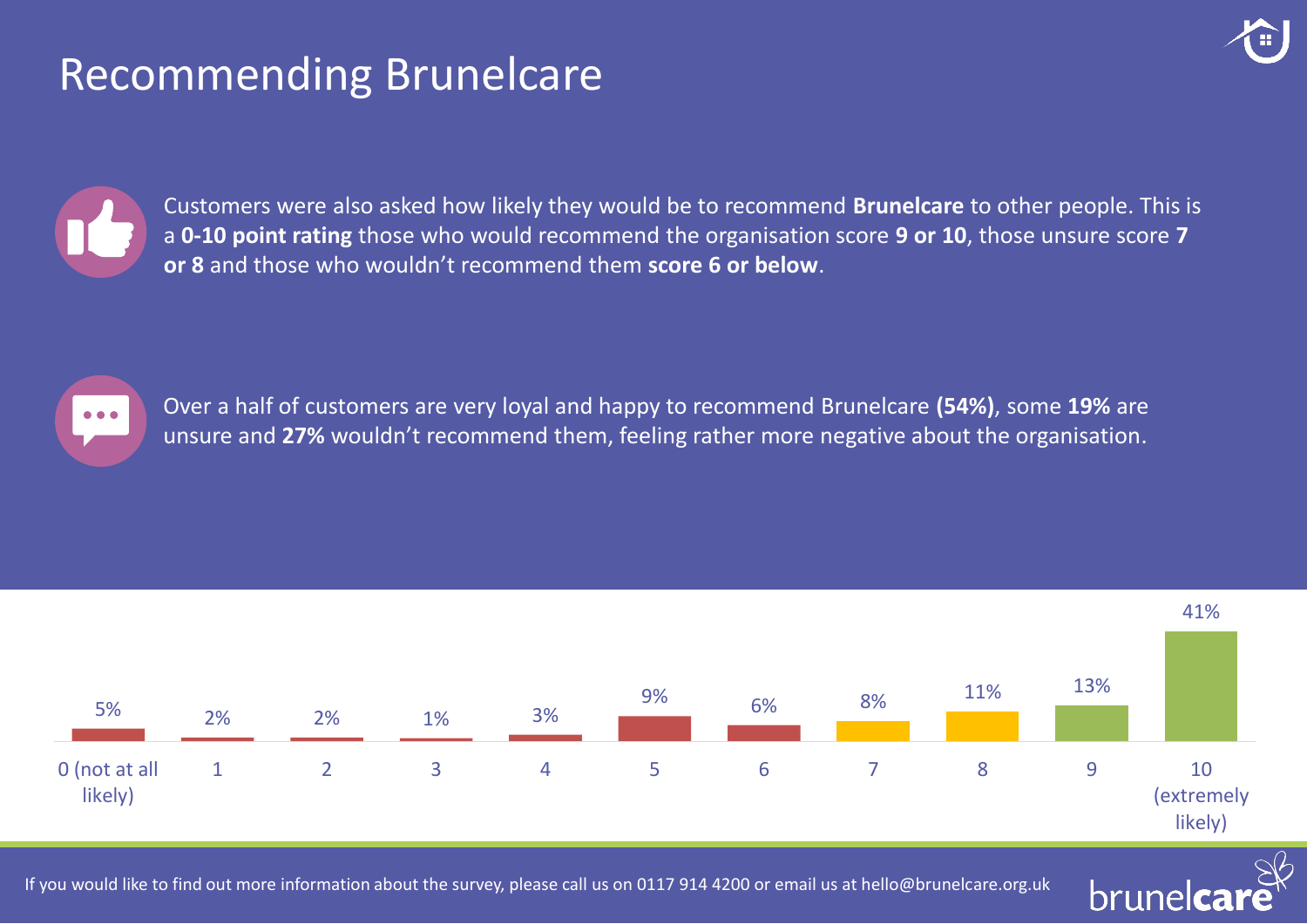# Recommending Brunelcare



Customers were also asked how likely they would be to recommend **Brunelcare** to other people. This is a **0-10 point rating** those who would recommend the organisation score **9 or 10**, those unsure score **7 or 8** and those who wouldn't recommend them **score 6 or below**.



Over a half of customers are very loyal and happy to recommend Brunelcare **(54%)**, some **19%** are unsure and **27%** wouldn't recommend them, feeling rather more negative about the organisation.



brunel

If you would like to find out more information about the survey, please call us on 0117 914 4200 or email us at hello@brunelcare.org.uk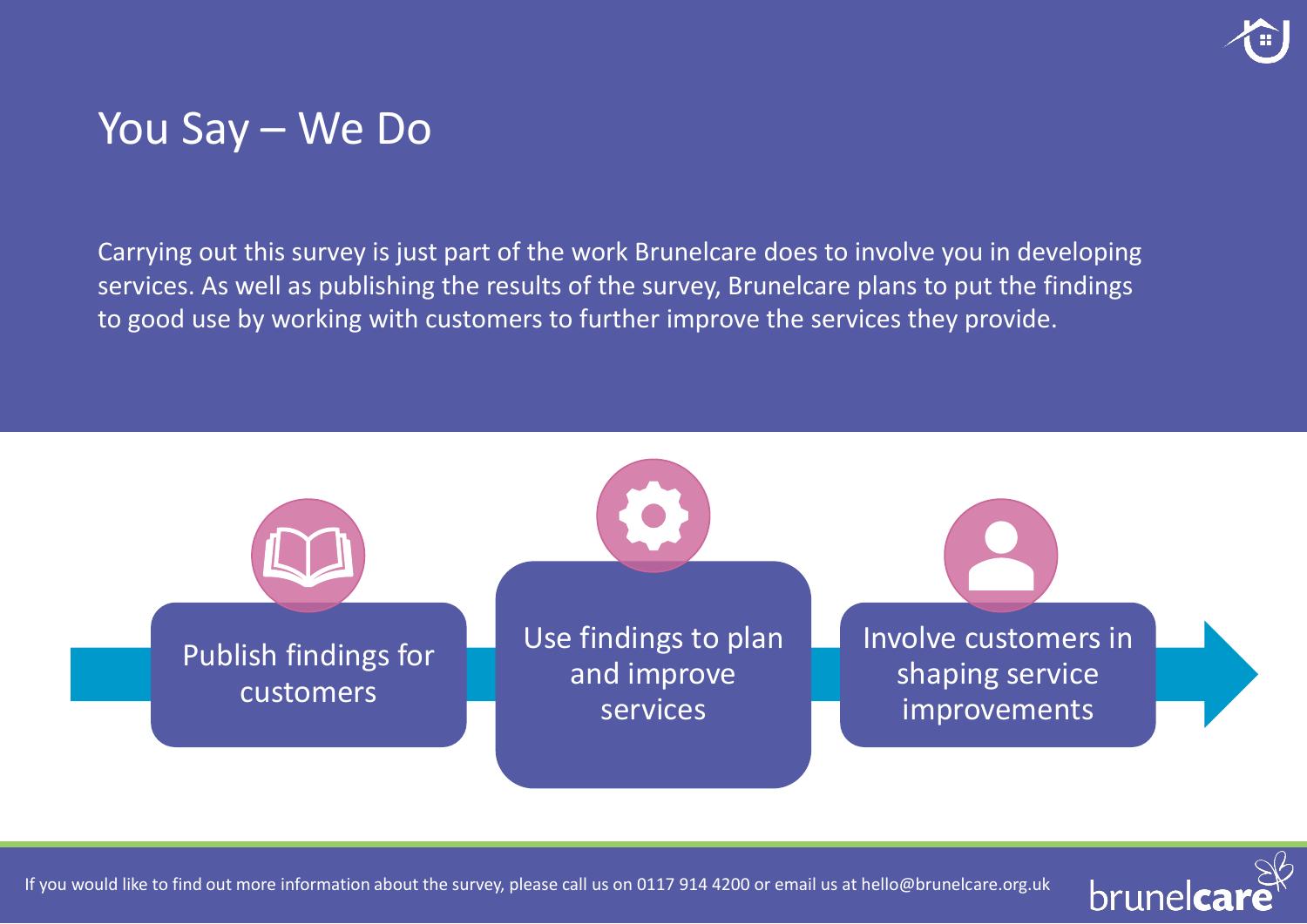

brunel

#### You Say – We Do

Carrying out this survey is just part of the work Brunelcare does to involve you in developing services. As well as publishing the results of the survey, Brunelcare plans to put the findings to good use by working with customers to further improve the services they provide.